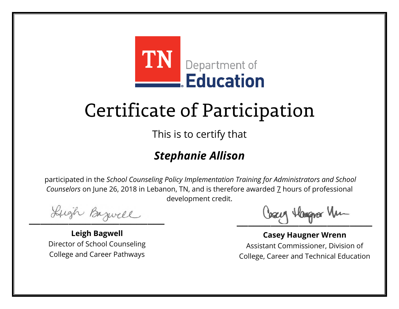

This is to certify that

### *Stephanie Allison*

Lugh Bazwell

**Leigh Bagwell** Director of School Counseling College and Career Pathways

Losey Hangra Vm

**Casey Haugner Wrenn** Assistant Commissioner, Division of College, Career and Technical Education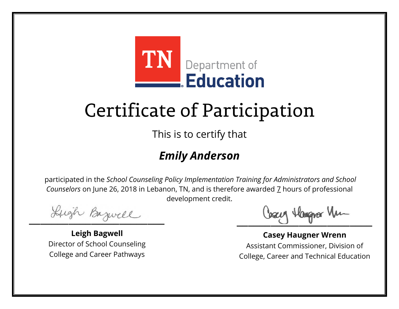

This is to certify that

### *Emily Anderson*

Lugh Bazwell

**Leigh Bagwell** Director of School Counseling College and Career Pathways

Losey Hangra Vm

**Casey Haugner Wrenn** Assistant Commissioner, Division of College, Career and Technical Education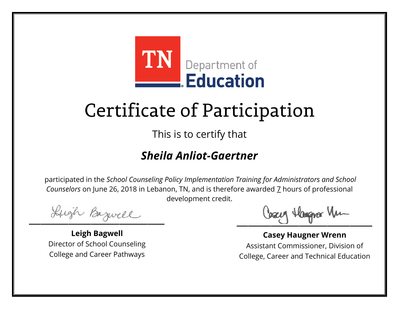

This is to certify that

#### *Sheila Anliot-Gaertner*

Lugh Bazwell

**Leigh Bagwell** Director of School Counseling College and Career Pathways

Cosey Hangra Vm

**Casey Haugner Wrenn** Assistant Commissioner, Division of College, Career and Technical Education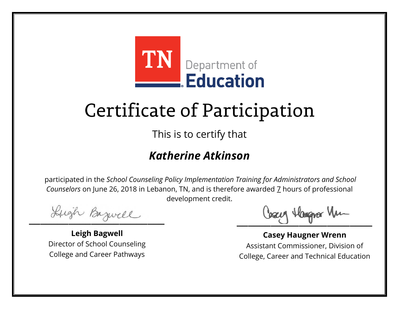

This is to certify that

#### *Katherine Atkinson*

Lugh Bazwell

**Leigh Bagwell** Director of School Counseling College and Career Pathways

Cosey Hangra Vm

**Casey Haugner Wrenn** Assistant Commissioner, Division of College, Career and Technical Education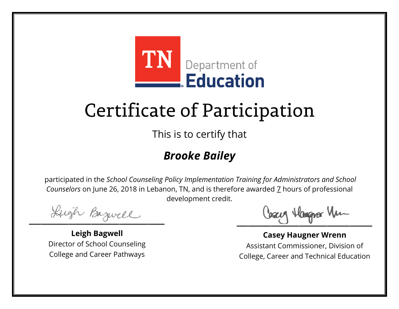

This is to certify that

### *Brooke Bailey*

Lugh Bazwell

**Leigh Bagwell** Director of School Counseling College and Career Pathways

Losey Hangra Vm

**Casey Haugner Wrenn** Assistant Commissioner, Division of College, Career and Technical Education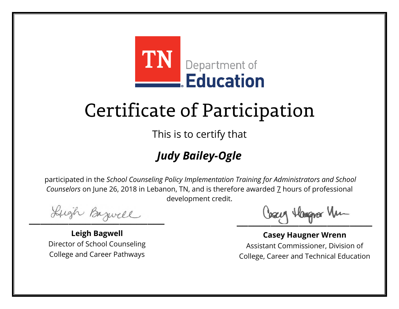

This is to certify that

### *Judy Bailey-Ogle*

Lugh Bazwell

**Leigh Bagwell** Director of School Counseling College and Career Pathways

Cosey Hangra Vm

**Casey Haugner Wrenn** Assistant Commissioner, Division of College, Career and Technical Education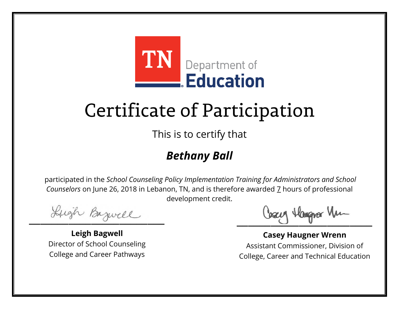

This is to certify that

### *Bethany Ball*

Lugh Bazwell

**Leigh Bagwell** Director of School Counseling College and Career Pathways

Losey Hangra Vm

**Casey Haugner Wrenn** Assistant Commissioner, Division of College, Career and Technical Education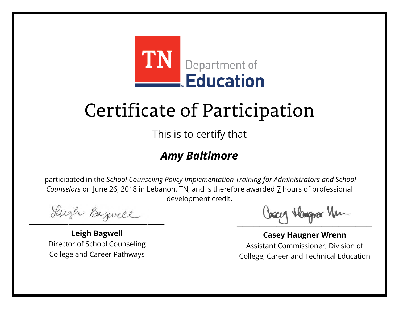

This is to certify that

### *Amy Baltimore*

Lugh Bazwell

**Leigh Bagwell** Director of School Counseling College and Career Pathways

Losey Hangra Vm

**Casey Haugner Wrenn** Assistant Commissioner, Division of College, Career and Technical Education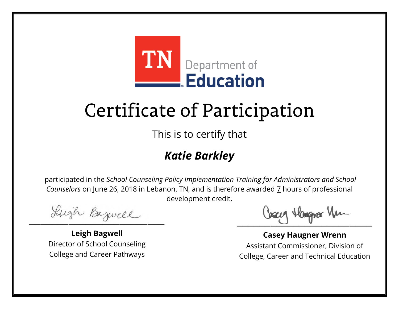

This is to certify that

### *Katie Barkley*

Lugh Bazwell

**Leigh Bagwell** Director of School Counseling College and Career Pathways

Losey Hangra Vm

**Casey Haugner Wrenn** Assistant Commissioner, Division of College, Career and Technical Education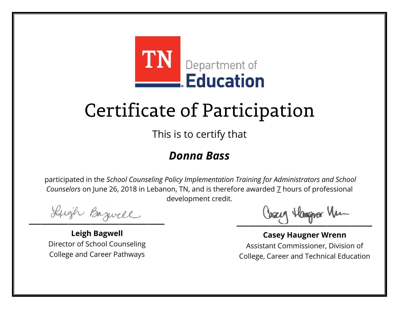

This is to certify that

#### *Donna Bass*

Lugh Bazwell

**Leigh Bagwell** Director of School Counseling College and Career Pathways

Losey Hangra Vm

**Casey Haugner Wrenn** Assistant Commissioner, Division of College, Career and Technical Education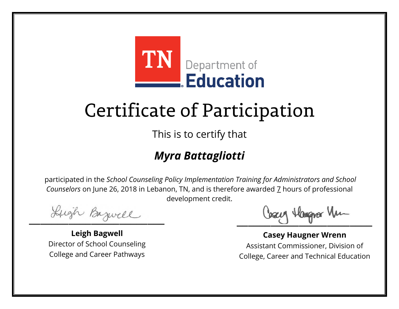

This is to certify that

### *Myra Battagliotti*

Lugh Bazwell

**Leigh Bagwell** Director of School Counseling College and Career Pathways

Losey Hangra Vm

**Casey Haugner Wrenn** Assistant Commissioner, Division of College, Career and Technical Education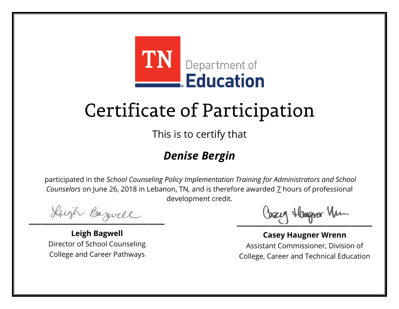

This is to certify that

### *Denise Bergin*

Lugh Bazwell

**Leigh Bagwell** Director of School Counseling College and Career Pathways

Losey Hangra Vm

**Casey Haugner Wrenn** Assistant Commissioner, Division of College, Career and Technical Education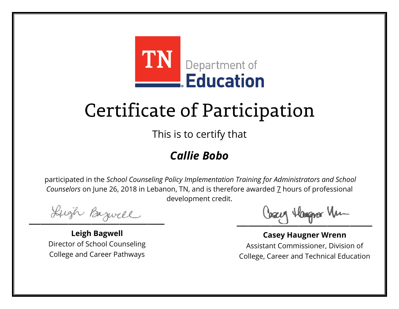

This is to certify that

### *Callie Bobo*

Lugh Bazwell

**Leigh Bagwell** Director of School Counseling College and Career Pathways

Losey Hangra Vm

**Casey Haugner Wrenn** Assistant Commissioner, Division of College, Career and Technical Education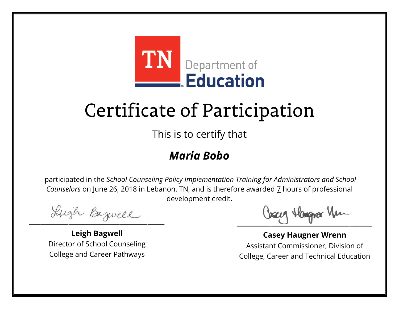

This is to certify that

#### *Maria Bobo*

Lugh Bazwell

**Leigh Bagwell** Director of School Counseling College and Career Pathways

Losey Hangra Vm

**Casey Haugner Wrenn** Assistant Commissioner, Division of College, Career and Technical Education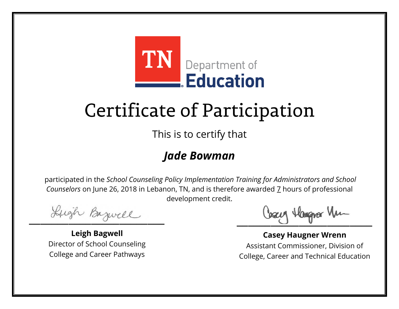

This is to certify that

#### *Jade Bowman*

Lugh Bazwell

**Leigh Bagwell** Director of School Counseling College and Career Pathways

Losey Hangra Vm

**Casey Haugner Wrenn** Assistant Commissioner, Division of College, Career and Technical Education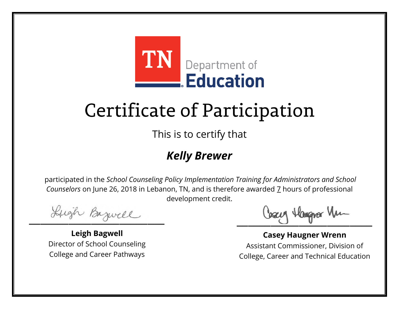

This is to certify that

### *Kelly Brewer*

Lugh Bazwell

**Leigh Bagwell** Director of School Counseling College and Career Pathways

Losey Hangra Vm

**Casey Haugner Wrenn** Assistant Commissioner, Division of College, Career and Technical Education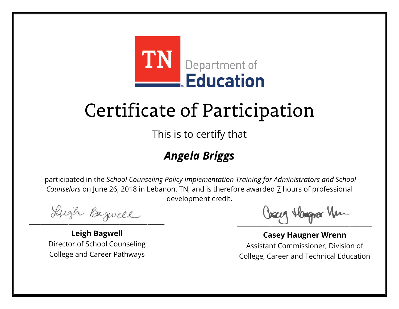

This is to certify that

### *Angela Briggs*

Lugh Bazwell

**Leigh Bagwell** Director of School Counseling College and Career Pathways

Losey Hangra Vm

**Casey Haugner Wrenn** Assistant Commissioner, Division of College, Career and Technical Education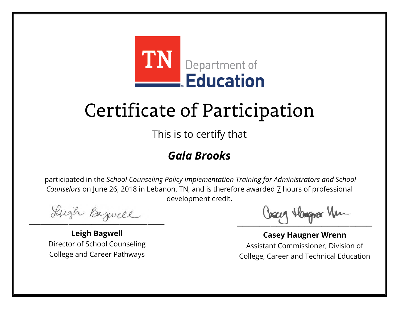

This is to certify that

### *Gala Brooks*

Lugh Bazwell

**Leigh Bagwell** Director of School Counseling College and Career Pathways

Losey Hangra Vm

**Casey Haugner Wrenn** Assistant Commissioner, Division of College, Career and Technical Education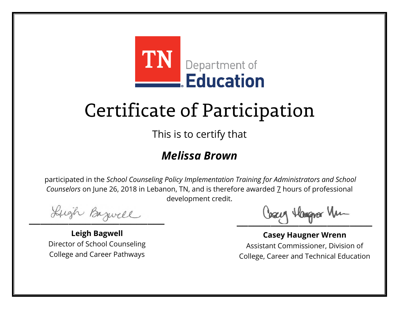

This is to certify that

#### *Melissa Brown*

Lugh Bazwell

**Leigh Bagwell** Director of School Counseling College and Career Pathways

Losey Hangra Vm

**Casey Haugner Wrenn** Assistant Commissioner, Division of College, Career and Technical Education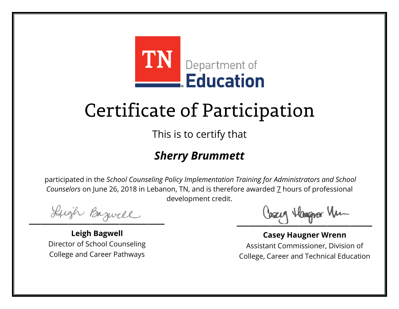

This is to certify that

#### *Sherry Brummett*

Lugh Bazwell

**Leigh Bagwell** Director of School Counseling College and Career Pathways

Losey Hangra Vm

**Casey Haugner Wrenn** Assistant Commissioner, Division of College, Career and Technical Education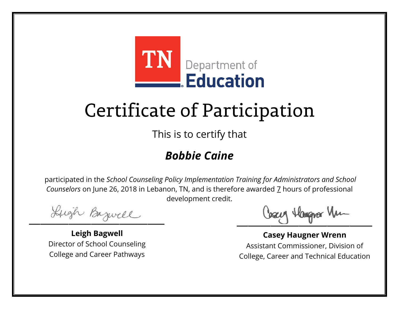

This is to certify that

### *Bobbie Caine*

Lugh Bazwell

**Leigh Bagwell** Director of School Counseling College and Career Pathways

Losey Hangra Vm

**Casey Haugner Wrenn** Assistant Commissioner, Division of College, Career and Technical Education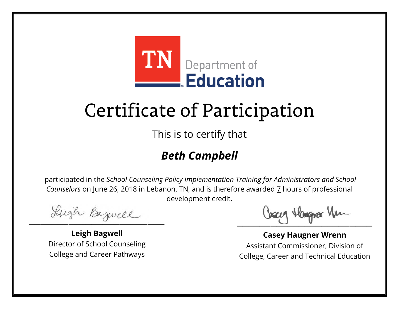

This is to certify that

### *Beth Campbell*

Lugh Bazwell

**Leigh Bagwell** Director of School Counseling College and Career Pathways

Losey Hangra Vm

**Casey Haugner Wrenn** Assistant Commissioner, Division of College, Career and Technical Education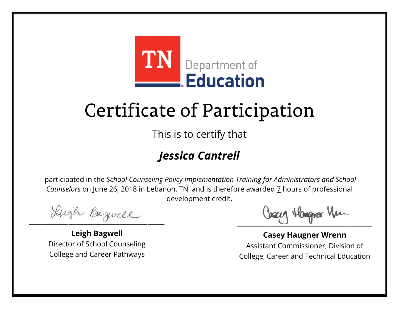

This is to certify that

### *Jessica Cantrell*

Lugh Bazwell

**Leigh Bagwell** Director of School Counseling College and Career Pathways

Losey Hangra Vm

**Casey Haugner Wrenn** Assistant Commissioner, Division of College, Career and Technical Education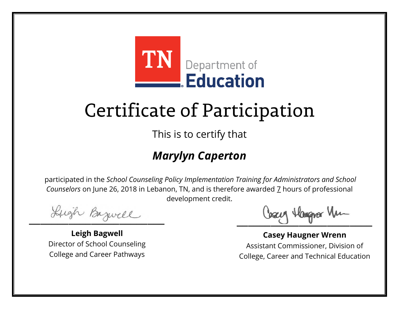

This is to certify that

### *Marylyn Caperton*

Lugh Bazwell

**Leigh Bagwell** Director of School Counseling College and Career Pathways

Cosey Hangra Vm

**Casey Haugner Wrenn** Assistant Commissioner, Division of College, Career and Technical Education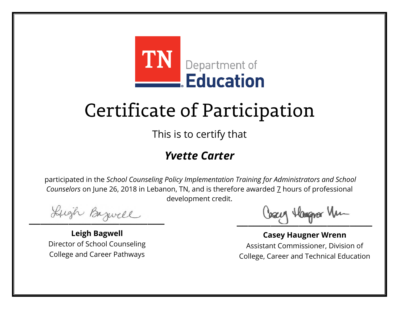

This is to certify that

#### *Yvette Carter*

Lugh Bazwell

**Leigh Bagwell** Director of School Counseling College and Career Pathways

Losey Hangra Vm

**Casey Haugner Wrenn** Assistant Commissioner, Division of College, Career and Technical Education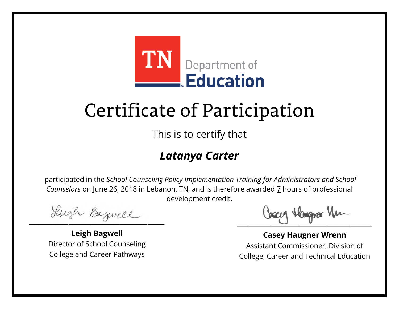

This is to certify that

#### *Latanya Carter*

Lugh Bazwell

**Leigh Bagwell** Director of School Counseling College and Career Pathways

Losey Hangra Vm

**Casey Haugner Wrenn** Assistant Commissioner, Division of College, Career and Technical Education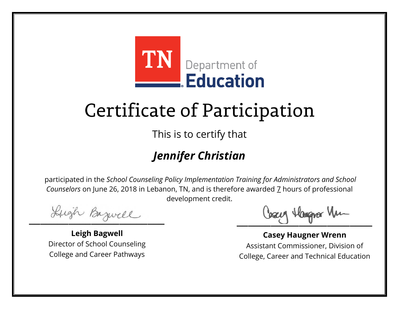

This is to certify that

### *Jennifer Christian*

Lugh Bazwell

**Leigh Bagwell** Director of School Counseling College and Career Pathways

Losey Hangra Vm

**Casey Haugner Wrenn** Assistant Commissioner, Division of College, Career and Technical Education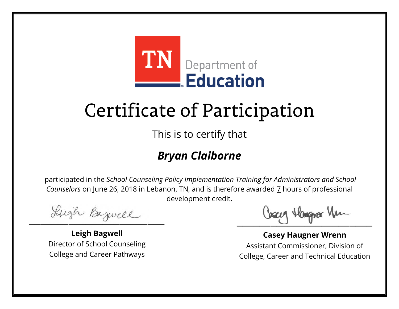

This is to certify that

#### *Bryan Claiborne*

Lugh Bazwell

**Leigh Bagwell** Director of School Counseling College and Career Pathways

Losey Hangra Vm

**Casey Haugner Wrenn** Assistant Commissioner, Division of College, Career and Technical Education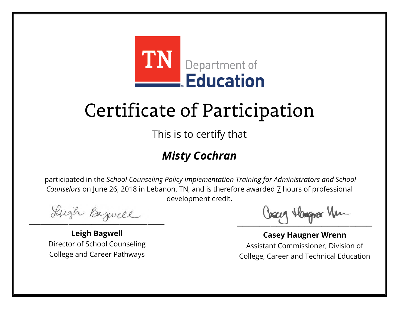

This is to certify that

### *Misty Cochran*

Lugh Bazwell

**Leigh Bagwell** Director of School Counseling College and Career Pathways

Losey Hangra Vm

**Casey Haugner Wrenn** Assistant Commissioner, Division of College, Career and Technical Education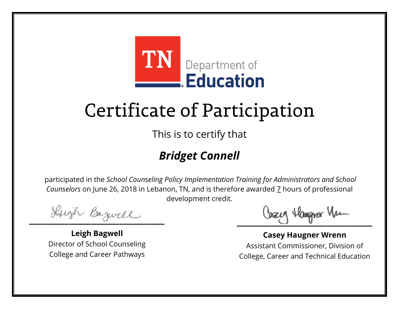

This is to certify that

### *Bridget Connell*

Lugh Bazwell

**Leigh Bagwell** Director of School Counseling College and Career Pathways

Losey Hangra Vm

**Casey Haugner Wrenn** Assistant Commissioner, Division of College, Career and Technical Education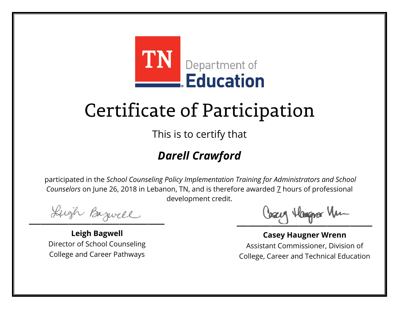

This is to certify that

### *Darell Crawford*

Lugh Bazwell

**Leigh Bagwell** Director of School Counseling College and Career Pathways

Cosey Hangra Vm

**Casey Haugner Wrenn** Assistant Commissioner, Division of College, Career and Technical Education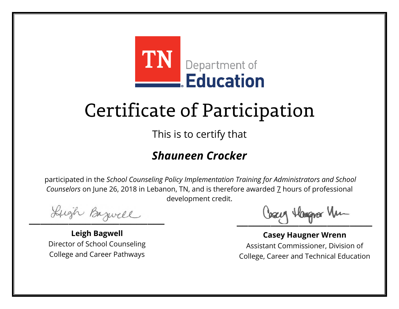

This is to certify that

#### *Shauneen Crocker*

Lugh Bazwell

**Leigh Bagwell** Director of School Counseling College and Career Pathways

Losey Hangra Vm

**Casey Haugner Wrenn** Assistant Commissioner, Division of College, Career and Technical Education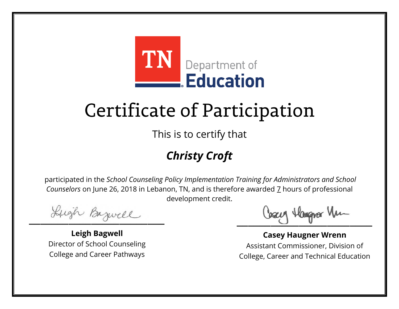

This is to certify that

### *Christy Croft*

Lugh Bazwell

**Leigh Bagwell** Director of School Counseling College and Career Pathways

Losey Hangra Vm

**Casey Haugner Wrenn** Assistant Commissioner, Division of College, Career and Technical Education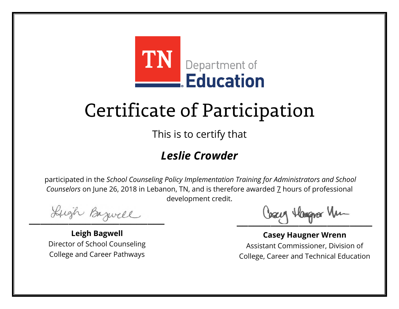

This is to certify that

#### *Leslie Crowder*

Lugh Bazwell

**Leigh Bagwell** Director of School Counseling College and Career Pathways

Cosey Hangra Vm

**Casey Haugner Wrenn** Assistant Commissioner, Division of College, Career and Technical Education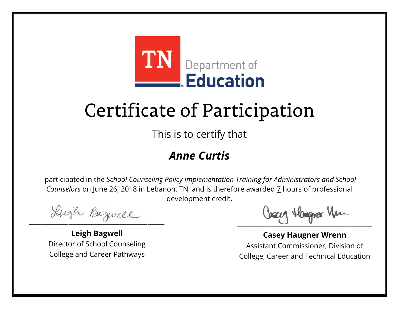

This is to certify that

#### *Anne Curtis*

Lugh Bazwell

**Leigh Bagwell** Director of School Counseling College and Career Pathways

Losey Hangra Vm

**Casey Haugner Wrenn** Assistant Commissioner, Division of College, Career and Technical Education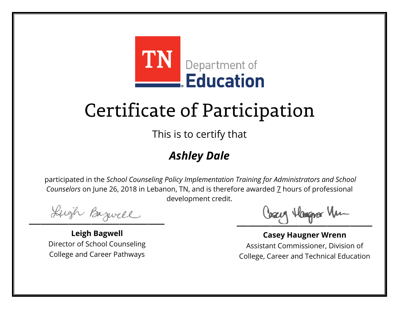

This is to certify that

### *Ashley Dale*

Lugh Bazwell

**Leigh Bagwell** Director of School Counseling College and Career Pathways

Losey Hangra Vm

**Casey Haugner Wrenn** Assistant Commissioner, Division of College, Career and Technical Education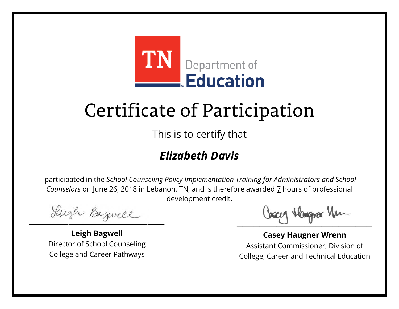

This is to certify that

### *Elizabeth Davis*

Lugh Bazwell

**Leigh Bagwell** Director of School Counseling College and Career Pathways

Losey Hangra Vm

**Casey Haugner Wrenn** Assistant Commissioner, Division of College, Career and Technical Education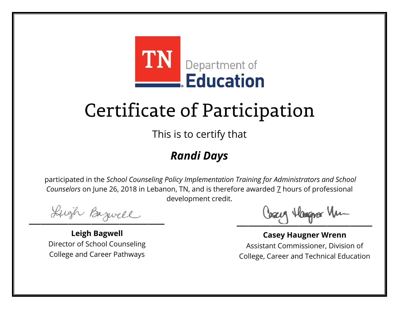

This is to certify that

### *Randi Days*

Lugh Bazwell

**Leigh Bagwell** Director of School Counseling College and Career Pathways

Losey Hangra Vm

**Casey Haugner Wrenn** Assistant Commissioner, Division of College, Career and Technical Education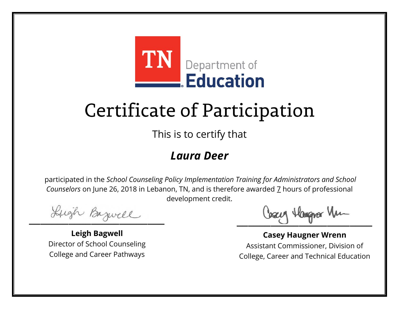

This is to certify that

#### *Laura Deer*

Lugh Bazwell

**Leigh Bagwell** Director of School Counseling College and Career Pathways

Losey Hangra Vm

**Casey Haugner Wrenn** Assistant Commissioner, Division of College, Career and Technical Education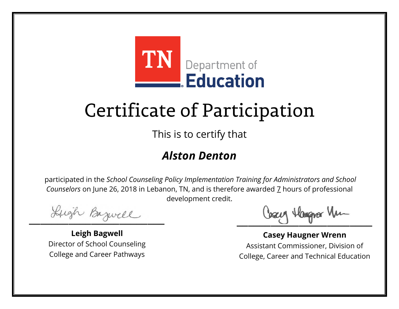

This is to certify that

#### *Alston Denton*

Lugh Bazwell

**Leigh Bagwell** Director of School Counseling College and Career Pathways

Losey Hangra Vm

**Casey Haugner Wrenn** Assistant Commissioner, Division of College, Career and Technical Education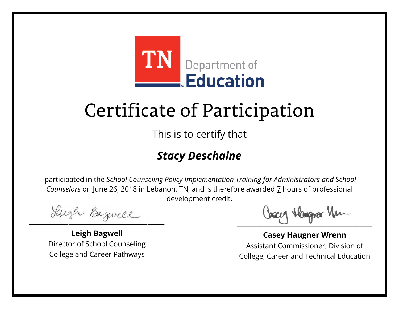

This is to certify that

### *Stacy Deschaine*

Lugh Bazwell

**Leigh Bagwell** Director of School Counseling College and Career Pathways

Losey Hangra Vm

**Casey Haugner Wrenn** Assistant Commissioner, Division of College, Career and Technical Education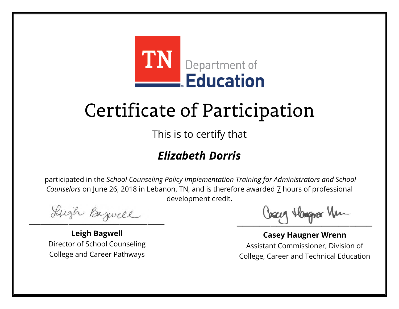

This is to certify that

### *Elizabeth Dorris*

Lugh Bazwell

**Leigh Bagwell** Director of School Counseling College and Career Pathways

Losey Hangra Vm

**Casey Haugner Wrenn** Assistant Commissioner, Division of College, Career and Technical Education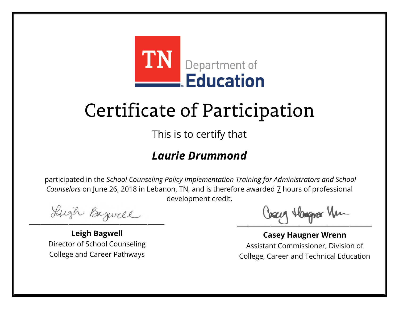

This is to certify that

#### *Laurie Drummond*

Lugh Bazwell

**Leigh Bagwell** Director of School Counseling College and Career Pathways

Losey Hangra Vm

**Casey Haugner Wrenn** Assistant Commissioner, Division of College, Career and Technical Education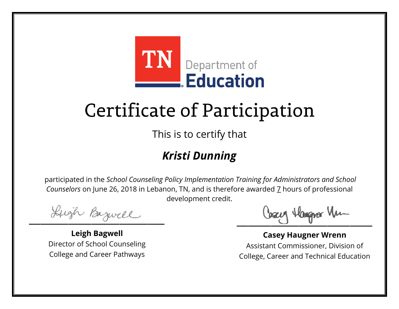

This is to certify that

### *Kristi Dunning*

Lugh Bazwell

**Leigh Bagwell** Director of School Counseling College and Career Pathways

Losey Hangra Vm

**Casey Haugner Wrenn** Assistant Commissioner, Division of College, Career and Technical Education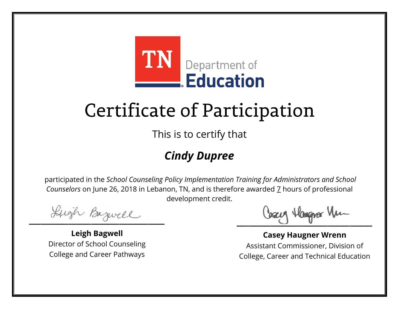

This is to certify that

### *Cindy Dupree*

Lugh Bazwell

**Leigh Bagwell** Director of School Counseling College and Career Pathways

Losey Hangra Vm

**Casey Haugner Wrenn** Assistant Commissioner, Division of College, Career and Technical Education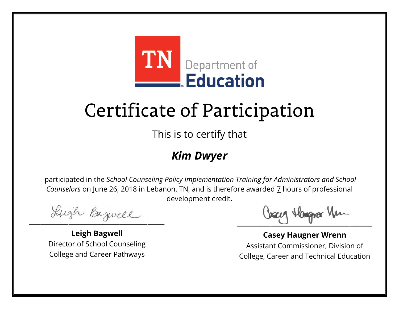

This is to certify that

#### *Kim Dwyer*

Lugh Bazwell

**Leigh Bagwell** Director of School Counseling College and Career Pathways

Losey Hangra Vm

**Casey Haugner Wrenn** Assistant Commissioner, Division of College, Career and Technical Education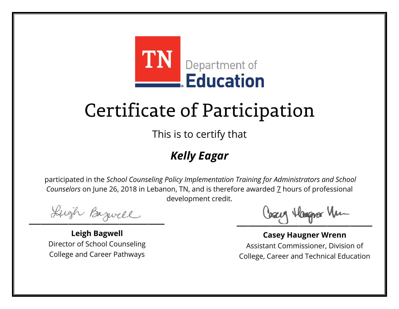

This is to certify that

### *Kelly Eagar*

Lugh Bazwell

**Leigh Bagwell** Director of School Counseling College and Career Pathways

Losey Hangra Vm

**Casey Haugner Wrenn** Assistant Commissioner, Division of College, Career and Technical Education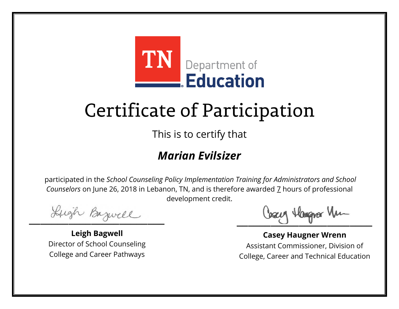

This is to certify that

### *Marian Evilsizer*

Lugh Bazwell

**Leigh Bagwell** Director of School Counseling College and Career Pathways

Losey Hangra Vm

**Casey Haugner Wrenn** Assistant Commissioner, Division of College, Career and Technical Education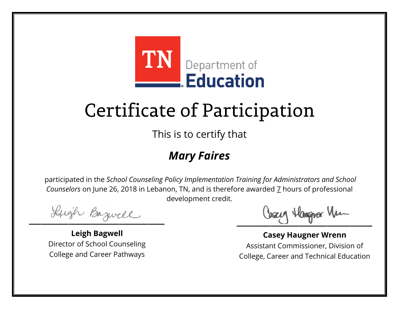

This is to certify that

#### *Mary Faires*

Lugh Bazwell

**Leigh Bagwell** Director of School Counseling College and Career Pathways

Losey Hangra Vm

**Casey Haugner Wrenn** Assistant Commissioner, Division of College, Career and Technical Education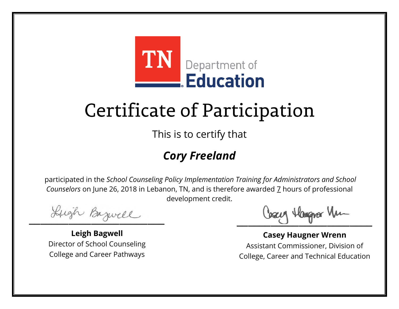

This is to certify that

### *Cory Freeland*

Lugh Bazwell

**Leigh Bagwell** Director of School Counseling College and Career Pathways

Losey Hangra Vm

**Casey Haugner Wrenn** Assistant Commissioner, Division of College, Career and Technical Education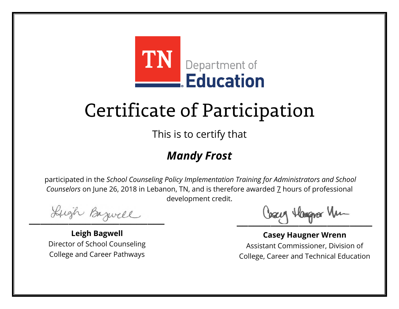

This is to certify that

### *Mandy Frost*

Lugh Bazwell

**Leigh Bagwell** Director of School Counseling College and Career Pathways

Losey Hangra Vm

**Casey Haugner Wrenn** Assistant Commissioner, Division of College, Career and Technical Education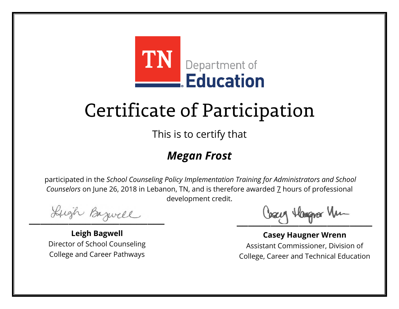

This is to certify that

### *Megan Frost*

Lugh Bazwell

**Leigh Bagwell** Director of School Counseling College and Career Pathways

Losey Hangra Vm

**Casey Haugner Wrenn** Assistant Commissioner, Division of College, Career and Technical Education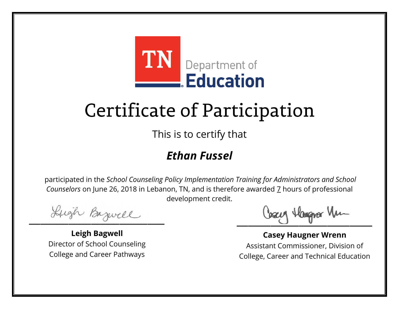

This is to certify that

### *Ethan Fussel*

Lugh Bazwell

**Leigh Bagwell** Director of School Counseling College and Career Pathways

Losey Hangra Vm

**Casey Haugner Wrenn** Assistant Commissioner, Division of College, Career and Technical Education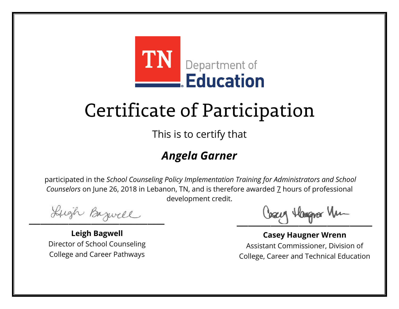

This is to certify that

### *Angela Garner*

Lugh Bazwell

**Leigh Bagwell** Director of School Counseling College and Career Pathways

Losey Hangra Vm

**Casey Haugner Wrenn** Assistant Commissioner, Division of College, Career and Technical Education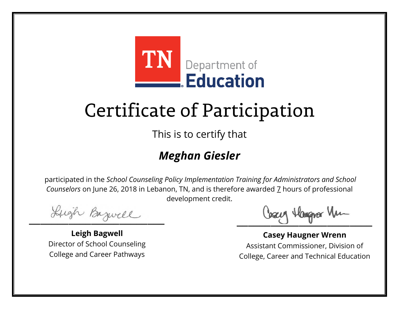

This is to certify that

### *Meghan Giesler*

Lugh Bazwell

**Leigh Bagwell** Director of School Counseling College and Career Pathways

Losey Hangra Vm

**Casey Haugner Wrenn** Assistant Commissioner, Division of College, Career and Technical Education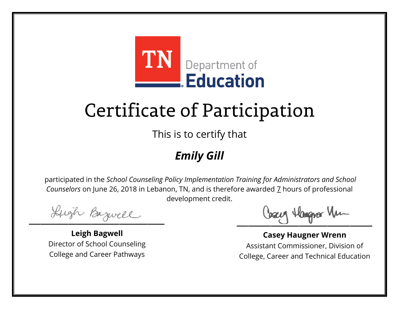

This is to certify that

### *Emily Gill*

Lugh Bazwell

**Leigh Bagwell** Director of School Counseling College and Career Pathways

Losey Hangra Vm

**Casey Haugner Wrenn** Assistant Commissioner, Division of College, Career and Technical Education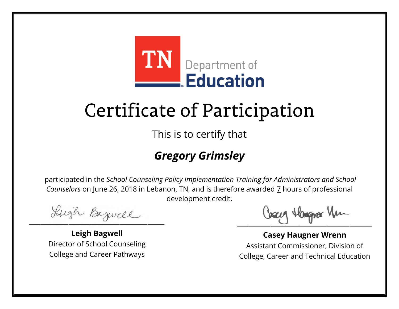

This is to certify that

### *Gregory Grimsley*

Lugh Bazwell

**Leigh Bagwell** Director of School Counseling College and Career Pathways

Cosey Hangra Vm

**Casey Haugner Wrenn** Assistant Commissioner, Division of College, Career and Technical Education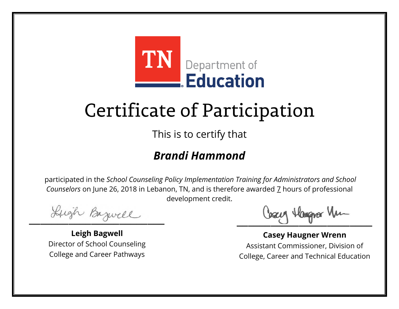

This is to certify that

### *Brandi Hammond*

Lugh Bazwell

**Leigh Bagwell** Director of School Counseling College and Career Pathways

Losey Hangra Vm

**Casey Haugner Wrenn** Assistant Commissioner, Division of College, Career and Technical Education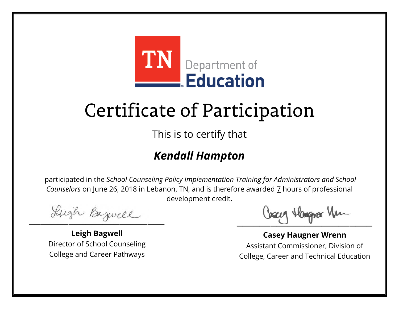

This is to certify that

### *Kendall Hampton*

Lugh Bazwell

**Leigh Bagwell** Director of School Counseling College and Career Pathways

Cosey Hangra Vm

**Casey Haugner Wrenn** Assistant Commissioner, Division of College, Career and Technical Education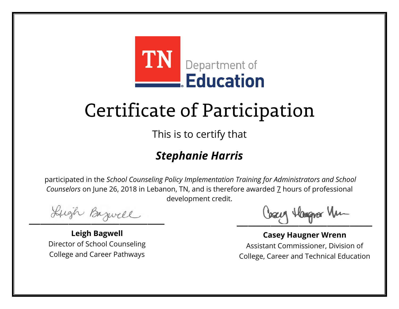

This is to certify that

### *Stephanie Harris*

Lugh Bazwell

**Leigh Bagwell** Director of School Counseling College and Career Pathways

Losey Hangra Vm

**Casey Haugner Wrenn** Assistant Commissioner, Division of College, Career and Technical Education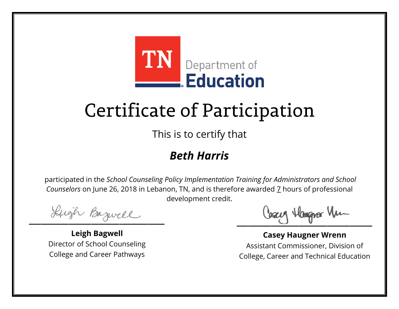

This is to certify that

#### *Beth Harris*

Lugh Bazwell

**Leigh Bagwell** Director of School Counseling College and Career Pathways

Losey Hangra Vm

**Casey Haugner Wrenn** Assistant Commissioner, Division of College, Career and Technical Education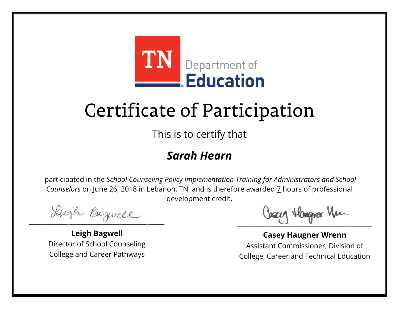

This is to certify that

### *Sarah Hearn*

Lugh Bazwell

**Leigh Bagwell** Director of School Counseling College and Career Pathways

Losey Hangra Vm

**Casey Haugner Wrenn** Assistant Commissioner, Division of College, Career and Technical Education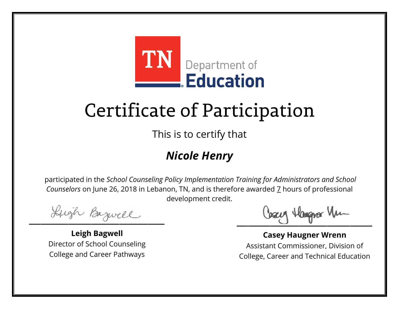

This is to certify that

### *Nicole Henry*

Lugh Bazwell

**Leigh Bagwell** Director of School Counseling College and Career Pathways

Losey Hangra Vm

**Casey Haugner Wrenn** Assistant Commissioner, Division of College, Career and Technical Education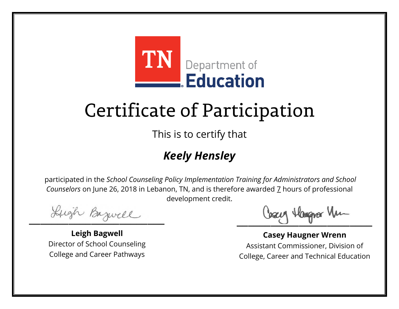

This is to certify that

### *Keely Hensley*

Lugh Bazwell

**Leigh Bagwell** Director of School Counseling College and Career Pathways

Losey Hangra Vm

**Casey Haugner Wrenn** Assistant Commissioner, Division of College, Career and Technical Education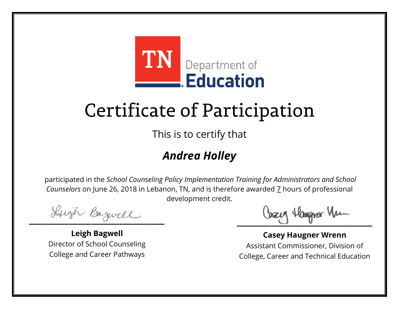

This is to certify that

### *Andrea Holley*

Lugh Bazwell

**Leigh Bagwell** Director of School Counseling College and Career Pathways

Losey Hangra Vm

**Casey Haugner Wrenn** Assistant Commissioner, Division of College, Career and Technical Education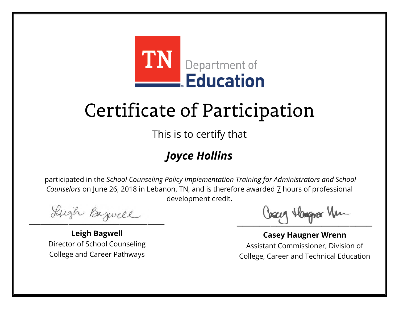

This is to certify that

### *Joyce Hollins*

Lugh Bazwell

**Leigh Bagwell** Director of School Counseling College and Career Pathways

Losey Hangra Vm

**Casey Haugner Wrenn** Assistant Commissioner, Division of College, Career and Technical Education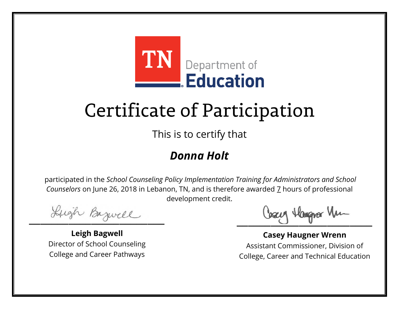

This is to certify that

#### *Donna Holt*

Lugh Bazwell

**Leigh Bagwell** Director of School Counseling College and Career Pathways

Losey Hangra Vm

**Casey Haugner Wrenn** Assistant Commissioner, Division of College, Career and Technical Education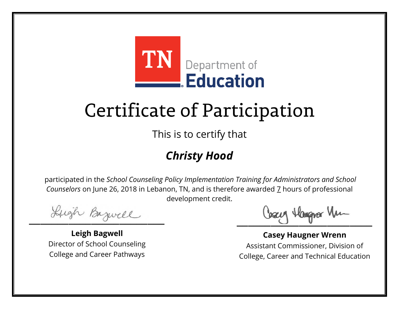

This is to certify that

### *Christy Hood*

Lugh Bazwell

**Leigh Bagwell** Director of School Counseling College and Career Pathways

Losey Hangra Vm

**Casey Haugner Wrenn** Assistant Commissioner, Division of College, Career and Technical Education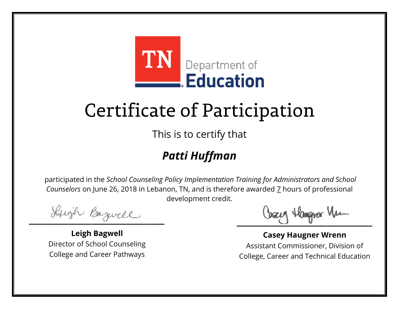

This is to certify that

### *Patti Huffman*

Lugh Bazwell

**Leigh Bagwell** Director of School Counseling College and Career Pathways

Losey Hangra Vm

**Casey Haugner Wrenn** Assistant Commissioner, Division of College, Career and Technical Education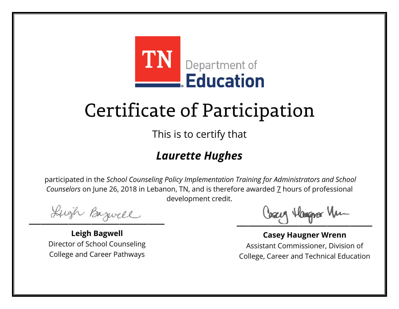

This is to certify that

### *Laurette Hughes*

Lugh Bazwell

**Leigh Bagwell** Director of School Counseling College and Career Pathways

Losey Hangra Vm

**Casey Haugner Wrenn** Assistant Commissioner, Division of College, Career and Technical Education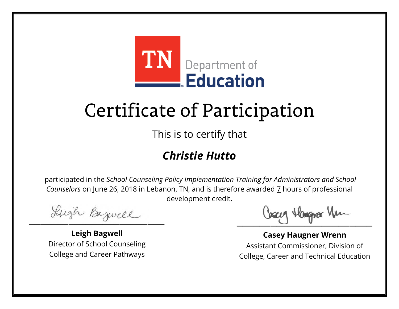

This is to certify that

### *Christie Hutto*

Lugh Bazwell

**Leigh Bagwell** Director of School Counseling College and Career Pathways

Cosey Hangra Vm

**Casey Haugner Wrenn** Assistant Commissioner, Division of College, Career and Technical Education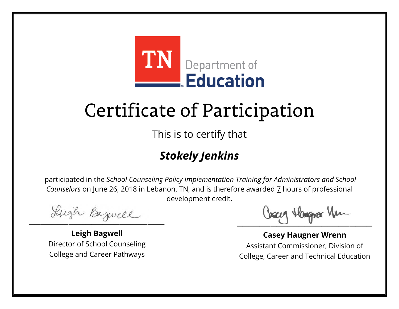

This is to certify that

### *Stokely Jenkins*

Lugh Bazwell

**Leigh Bagwell** Director of School Counseling College and Career Pathways

Losey Hangra Vm

**Casey Haugner Wrenn** Assistant Commissioner, Division of College, Career and Technical Education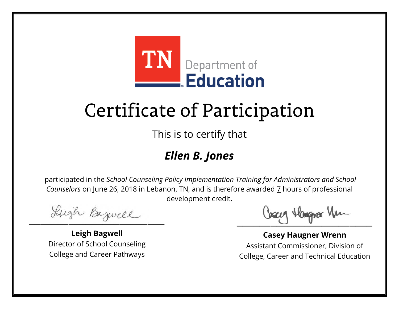

This is to certify that

### *Ellen B. Jones*

Lugh Bazwell

**Leigh Bagwell** Director of School Counseling College and Career Pathways

Losey Hangra Vm

**Casey Haugner Wrenn** Assistant Commissioner, Division of College, Career and Technical Education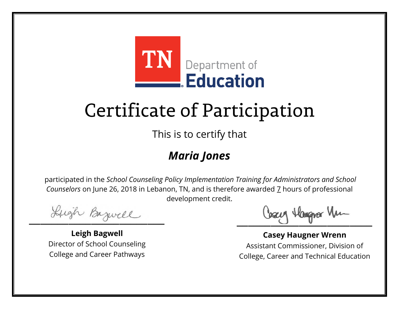

This is to certify that

### *Maria Jones*

Lugh Bazwell

**Leigh Bagwell** Director of School Counseling College and Career Pathways

Losey Hangra Vm

**Casey Haugner Wrenn** Assistant Commissioner, Division of College, Career and Technical Education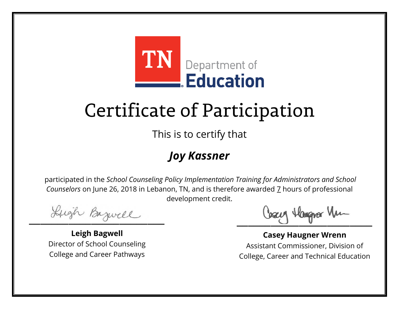

This is to certify that

### *Joy Kassner*

Lugh Bazwell

**Leigh Bagwell** Director of School Counseling College and Career Pathways

Losey Hangra Vm

**Casey Haugner Wrenn** Assistant Commissioner, Division of College, Career and Technical Education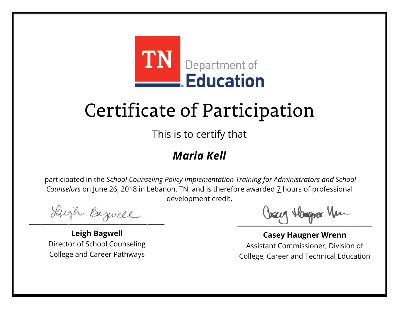

This is to certify that

### *Maria Kell*

Lugh Bazwell

**Leigh Bagwell** Director of School Counseling College and Career Pathways

Losey Hangra Vm

**Casey Haugner Wrenn** Assistant Commissioner, Division of College, Career and Technical Education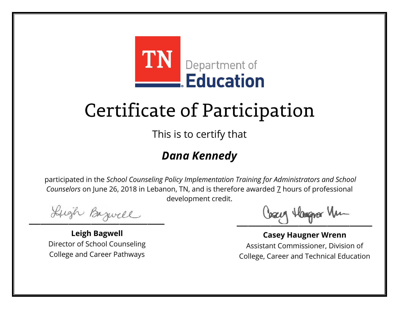

This is to certify that

### *Dana Kennedy*

Lugh Bazwell

**Leigh Bagwell** Director of School Counseling College and Career Pathways

Losey Hangra Vm

**Casey Haugner Wrenn** Assistant Commissioner, Division of College, Career and Technical Education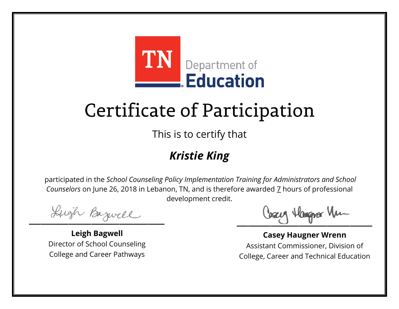

This is to certify that

### *Kristie King*

Lugh Bazwell

**Leigh Bagwell** Director of School Counseling College and Career Pathways

Losey Hangra Vm

**Casey Haugner Wrenn** Assistant Commissioner, Division of College, Career and Technical Education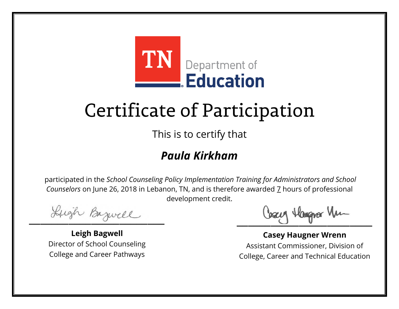

This is to certify that

#### *Paula Kirkham*

Lugh Bazwell

**Leigh Bagwell** Director of School Counseling College and Career Pathways

Losey Hangra Vm

**Casey Haugner Wrenn** Assistant Commissioner, Division of College, Career and Technical Education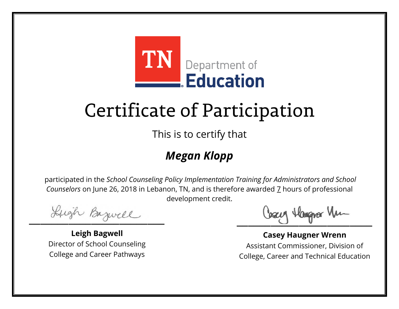

This is to certify that

### *Megan Klopp*

Lugh Bazwell

**Leigh Bagwell** Director of School Counseling College and Career Pathways

Losey Hangra Vm

**Casey Haugner Wrenn** Assistant Commissioner, Division of College, Career and Technical Education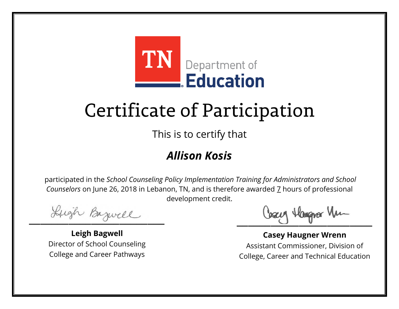

This is to certify that

### *Allison Kosis*

Lugh Bazwell

**Leigh Bagwell** Director of School Counseling College and Career Pathways

Losey Hangra Vm

**Casey Haugner Wrenn** Assistant Commissioner, Division of College, Career and Technical Education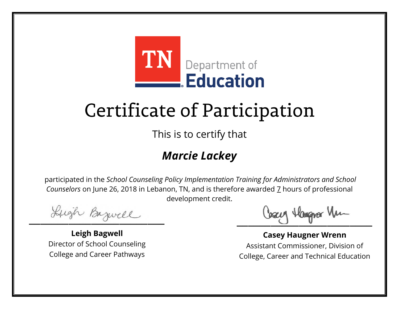

This is to certify that

### *Marcie Lackey*

Lugh Bazwell

**Leigh Bagwell** Director of School Counseling College and Career Pathways

Losey Hangra Vm

**Casey Haugner Wrenn** Assistant Commissioner, Division of College, Career and Technical Education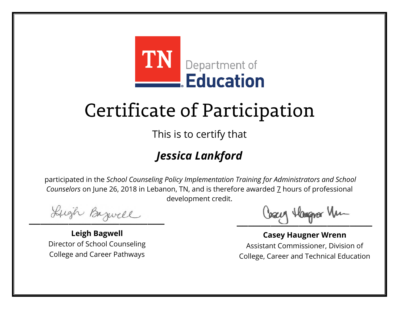

This is to certify that

### *Jessica Lankford*

Lugh Bazwell

**Leigh Bagwell** Director of School Counseling College and Career Pathways

Losey Hangra Vm

**Casey Haugner Wrenn** Assistant Commissioner, Division of College, Career and Technical Education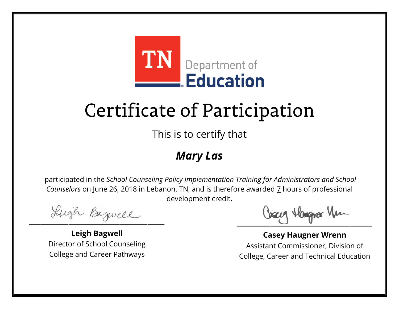

This is to certify that

### *Mary Las*

Lugh Bazwell

**Leigh Bagwell** Director of School Counseling College and Career Pathways

Losey Hangra Vm

**Casey Haugner Wrenn** Assistant Commissioner, Division of College, Career and Technical Education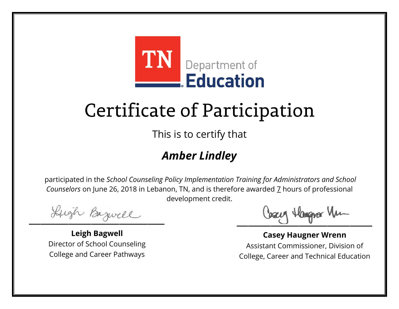

This is to certify that

### *Amber Lindley*

Lugh Bazwell

**Leigh Bagwell** Director of School Counseling College and Career Pathways

Losey Hangra Vm

**Casey Haugner Wrenn** Assistant Commissioner, Division of College, Career and Technical Education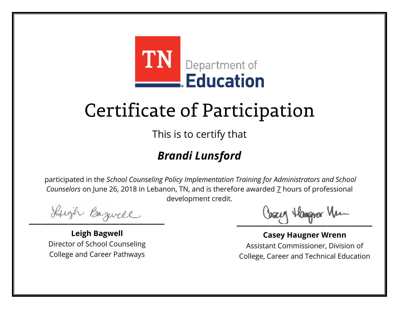

This is to certify that

### *Brandi Lunsford*

Lugh Bazwell

**Leigh Bagwell** Director of School Counseling College and Career Pathways

Losey Hangra Vm

**Casey Haugner Wrenn** Assistant Commissioner, Division of College, Career and Technical Education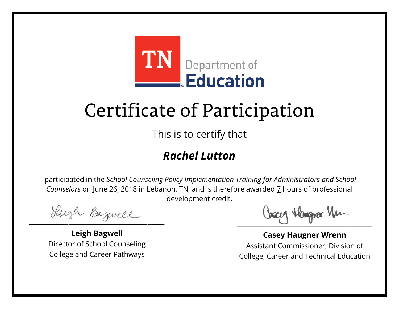

This is to certify that

### *Rachel Lutton*

Lugh Bazwell

**Leigh Bagwell** Director of School Counseling College and Career Pathways

Cosey Hangra Vm

**Casey Haugner Wrenn** Assistant Commissioner, Division of College, Career and Technical Education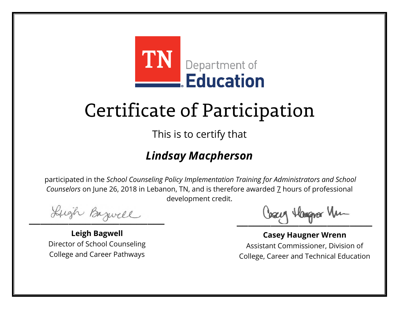

This is to certify that

### *Lindsay Macpherson*

Lugh Bazwell

**Leigh Bagwell** Director of School Counseling College and Career Pathways

Cosey Hangra Vm

**Casey Haugner Wrenn** Assistant Commissioner, Division of College, Career and Technical Education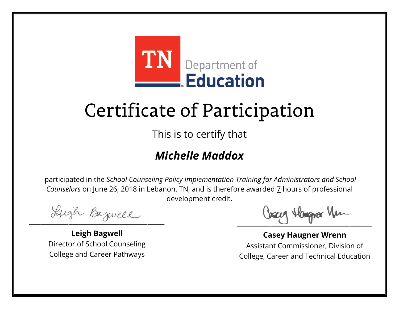

This is to certify that

### *Michelle Maddox*

Lugh Bazwell

**Leigh Bagwell** Director of School Counseling College and Career Pathways

Cosey Hangra Vm

**Casey Haugner Wrenn** Assistant Commissioner, Division of College, Career and Technical Education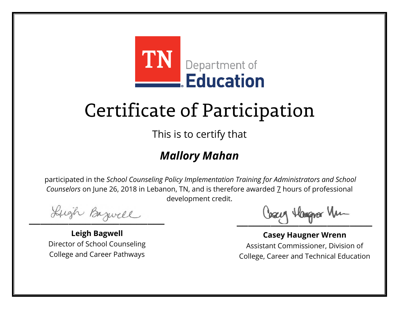

This is to certify that

### *Mallory Mahan*

Lugh Bazwell

**Leigh Bagwell** Director of School Counseling College and Career Pathways

Losey Hangra Vm

**Casey Haugner Wrenn** Assistant Commissioner, Division of College, Career and Technical Education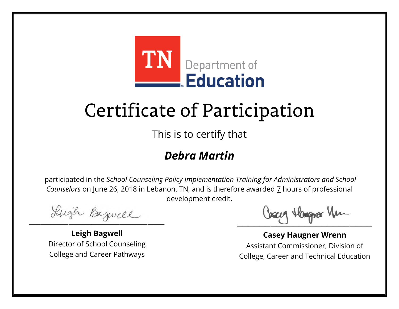

This is to certify that

#### *Debra Martin*

Lugh Bazwell

**Leigh Bagwell** Director of School Counseling College and Career Pathways

Losey Hangra Vm

**Casey Haugner Wrenn** Assistant Commissioner, Division of College, Career and Technical Education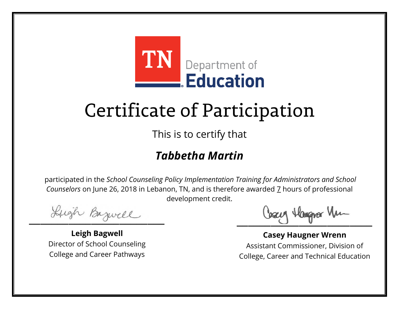

This is to certify that

### *Tabbetha Martin*

Lugh Bazwell

**Leigh Bagwell** Director of School Counseling College and Career Pathways

Cosey Hangra Vm

**Casey Haugner Wrenn** Assistant Commissioner, Division of College, Career and Technical Education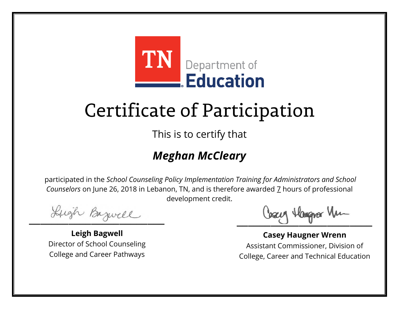

This is to certify that

### *Meghan McCleary*

Lugh Bazwell

**Leigh Bagwell** Director of School Counseling College and Career Pathways

Losey Hangra Vm

**Casey Haugner Wrenn** Assistant Commissioner, Division of College, Career and Technical Education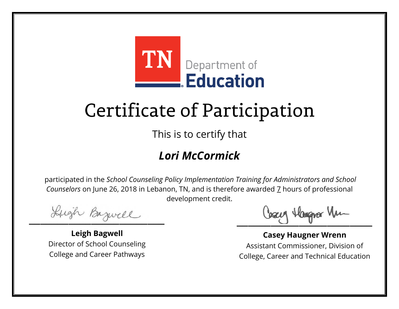

This is to certify that

### *Lori McCormick*

Lugh Bazwell

**Leigh Bagwell** Director of School Counseling College and Career Pathways

Cosey Hangra Vm

**Casey Haugner Wrenn** Assistant Commissioner, Division of College, Career and Technical Education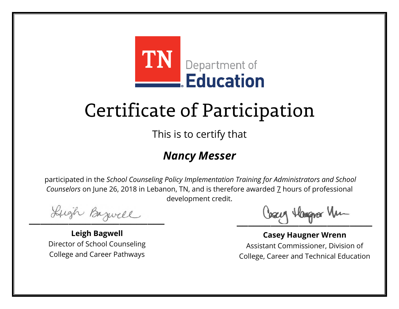

This is to certify that

#### *Nancy Messer*

Lugh Bazwell

**Leigh Bagwell** Director of School Counseling College and Career Pathways

Losey Hangra Vm

**Casey Haugner Wrenn** Assistant Commissioner, Division of College, Career and Technical Education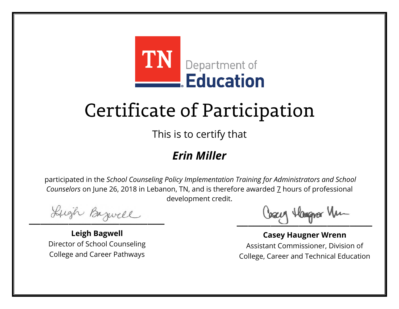

This is to certify that

#### *Erin Miller*

Lugh Bazwell

**Leigh Bagwell** Director of School Counseling College and Career Pathways

Losey Hangra Vm

**Casey Haugner Wrenn** Assistant Commissioner, Division of College, Career and Technical Education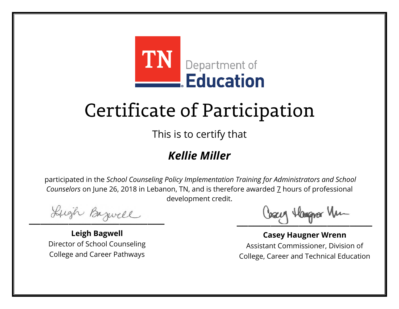

This is to certify that

#### *Kellie Miller*

Lugh Bazwell

**Leigh Bagwell** Director of School Counseling College and Career Pathways

Losey Hangra Vm

**Casey Haugner Wrenn** Assistant Commissioner, Division of College, Career and Technical Education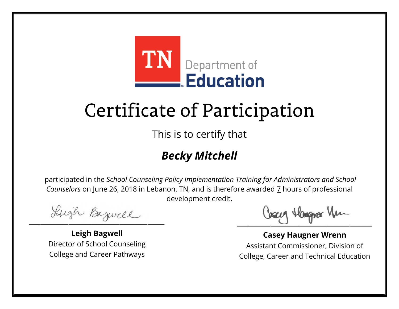

This is to certify that

### *Becky Mitchell*

Lugh Bazwell

**Leigh Bagwell** Director of School Counseling College and Career Pathways

Losey Hangra Vm

**Casey Haugner Wrenn** Assistant Commissioner, Division of College, Career and Technical Education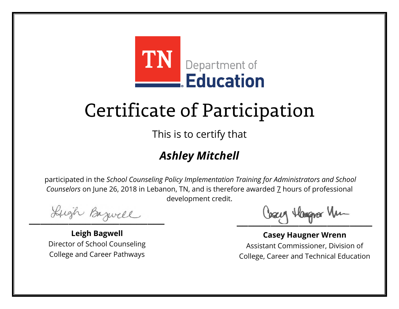

This is to certify that

### *Ashley Mitchell*

Lugh Bazwell

**Leigh Bagwell** Director of School Counseling College and Career Pathways

Losey Hangra Vm

**Casey Haugner Wrenn** Assistant Commissioner, Division of College, Career and Technical Education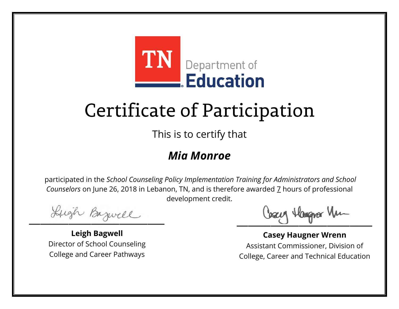

This is to certify that

#### *Mia Monroe*

Lugh Bazwell

**Leigh Bagwell** Director of School Counseling College and Career Pathways

Losey Hangra Vm

**Casey Haugner Wrenn** Assistant Commissioner, Division of College, Career and Technical Education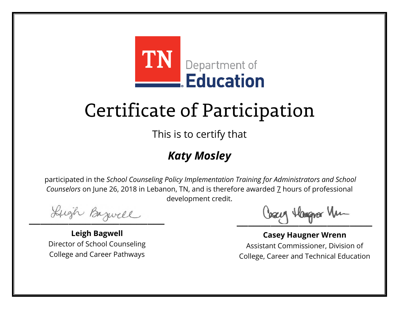

This is to certify that

### *Katy Mosley*

Lugh Bazwell

**Leigh Bagwell** Director of School Counseling College and Career Pathways

Losey Hangra Vm

**Casey Haugner Wrenn** Assistant Commissioner, Division of College, Career and Technical Education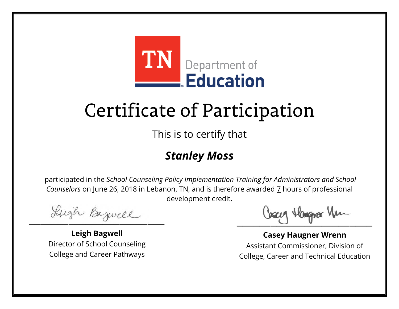

This is to certify that

### *Stanley Moss*

Lugh Bazwell

**Leigh Bagwell** Director of School Counseling College and Career Pathways

Losey Hangra Vm

**Casey Haugner Wrenn** Assistant Commissioner, Division of College, Career and Technical Education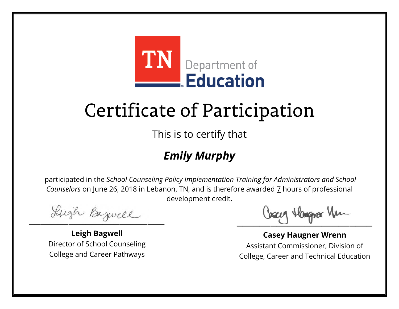

This is to certify that

### *Emily Murphy*

Lugh Bazwell

**Leigh Bagwell** Director of School Counseling College and Career Pathways

Losey Hangra Vm

**Casey Haugner Wrenn** Assistant Commissioner, Division of College, Career and Technical Education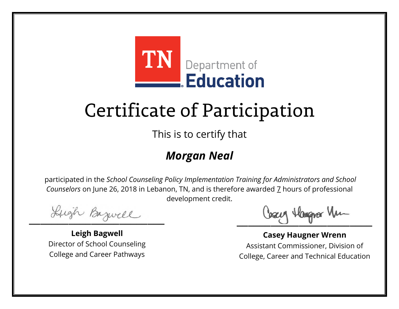

This is to certify that

### *Morgan Neal*

Lugh Bazwell

**Leigh Bagwell** Director of School Counseling College and Career Pathways

Losey Hangra Vm

**Casey Haugner Wrenn** Assistant Commissioner, Division of College, Career and Technical Education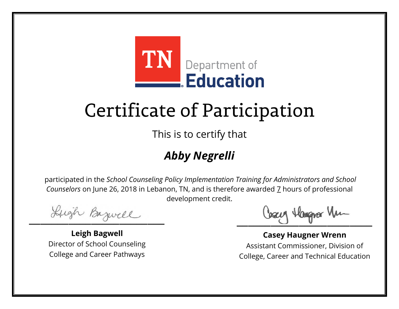

This is to certify that

### *Abby Negrelli*

Lugh Bazwell

**Leigh Bagwell** Director of School Counseling College and Career Pathways

Losey Hangra Vm

**Casey Haugner Wrenn** Assistant Commissioner, Division of College, Career and Technical Education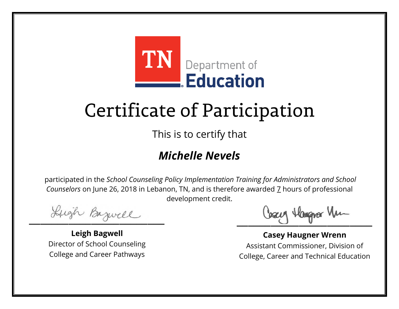

This is to certify that

### *Michelle Nevels*

Lugh Bazwell

**Leigh Bagwell** Director of School Counseling College and Career Pathways

Cosey Hangra Vm

**Casey Haugner Wrenn** Assistant Commissioner, Division of College, Career and Technical Education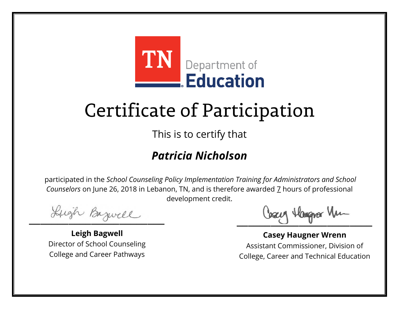

This is to certify that

### *Patricia Nicholson*

Lugh Bazwell

**Leigh Bagwell** Director of School Counseling College and Career Pathways

Cosey Hangra Vm

**Casey Haugner Wrenn** Assistant Commissioner, Division of College, Career and Technical Education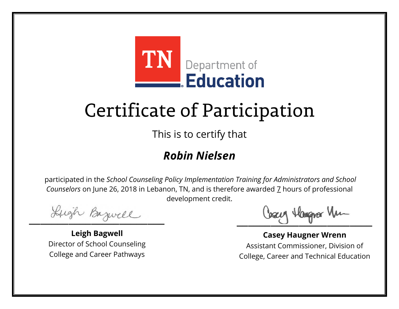

This is to certify that

### *Robin Nielsen*

Lugh Bazwell

**Leigh Bagwell** Director of School Counseling College and Career Pathways

Losey Hangra Vm

**Casey Haugner Wrenn** Assistant Commissioner, Division of College, Career and Technical Education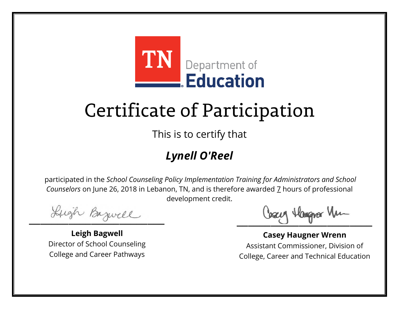

This is to certify that

### *Lynell O'Reel*

Lugh Bazwell

**Leigh Bagwell** Director of School Counseling College and Career Pathways

Losey Hangra Vm

**Casey Haugner Wrenn** Assistant Commissioner, Division of College, Career and Technical Education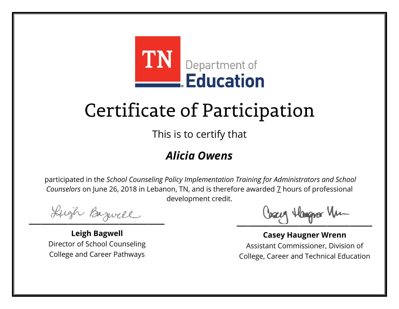

This is to certify that

#### *Alicia Owens*

Lugh Bazwell

**Leigh Bagwell** Director of School Counseling College and Career Pathways

Losey Hangra Vm

**Casey Haugner Wrenn** Assistant Commissioner, Division of College, Career and Technical Education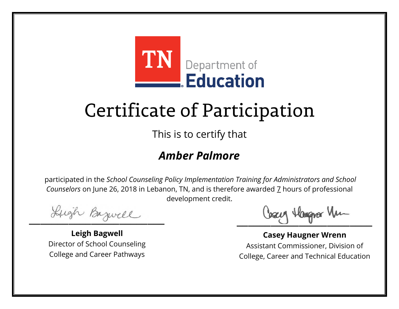

This is to certify that

#### *Amber Palmore*

Lugh Bazwell

**Leigh Bagwell** Director of School Counseling College and Career Pathways

Losey Hangra Vm

**Casey Haugner Wrenn** Assistant Commissioner, Division of College, Career and Technical Education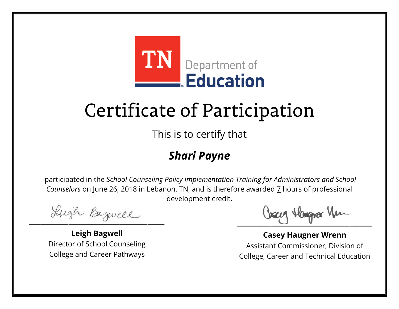

This is to certify that

### *Shari Payne*

Lugh Bazwell

**Leigh Bagwell** Director of School Counseling College and Career Pathways

Losey Hangra Vm

**Casey Haugner Wrenn** Assistant Commissioner, Division of College, Career and Technical Education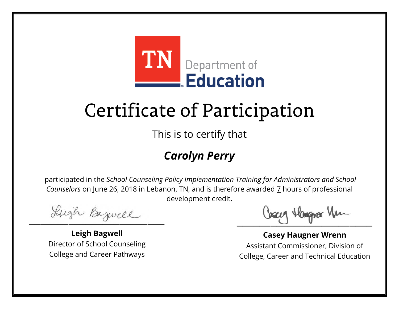

This is to certify that

### *Carolyn Perry*

Lugh Bazwell

**Leigh Bagwell** Director of School Counseling College and Career Pathways

Losey Hangra Vm

**Casey Haugner Wrenn** Assistant Commissioner, Division of College, Career and Technical Education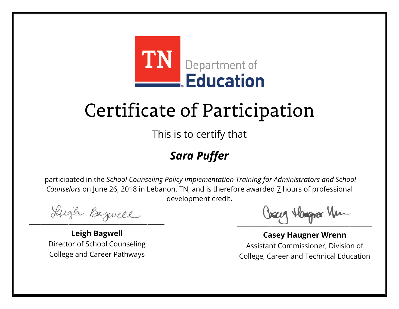

This is to certify that

### *Sara Puffer*

Lugh Bazwell

**Leigh Bagwell** Director of School Counseling College and Career Pathways

Losey Hangra Vm

**Casey Haugner Wrenn** Assistant Commissioner, Division of College, Career and Technical Education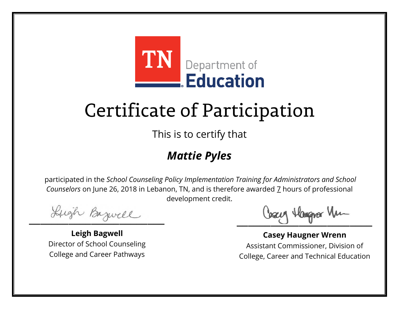

This is to certify that

### *Mattie Pyles*

Lugh Bazwell

**Leigh Bagwell** Director of School Counseling College and Career Pathways

Losey Hangra Vm

**Casey Haugner Wrenn** Assistant Commissioner, Division of College, Career and Technical Education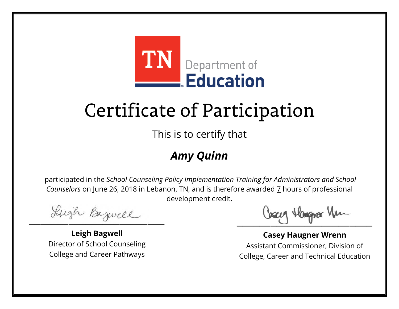

This is to certify that

#### *Amy Quinn*

Lugh Bazwell

**Leigh Bagwell** Director of School Counseling College and Career Pathways

Losey Hangra Vm

**Casey Haugner Wrenn** Assistant Commissioner, Division of College, Career and Technical Education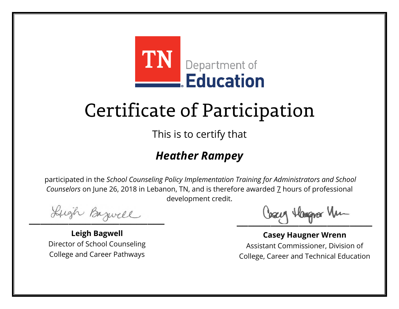

This is to certify that

#### *Heather Rampey*

Lugh Bazwell

**Leigh Bagwell** Director of School Counseling College and Career Pathways

Cosey Hangra Vm

**Casey Haugner Wrenn** Assistant Commissioner, Division of College, Career and Technical Education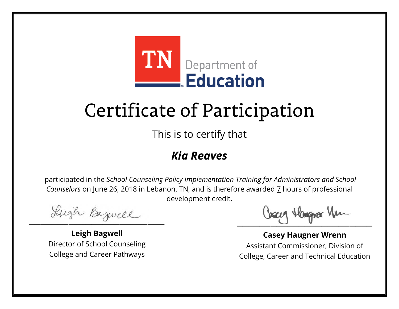

This is to certify that

#### *Kia Reaves*

Lugh Bazwell

**Leigh Bagwell** Director of School Counseling College and Career Pathways

Losey Hangra Vm

**Casey Haugner Wrenn** Assistant Commissioner, Division of College, Career and Technical Education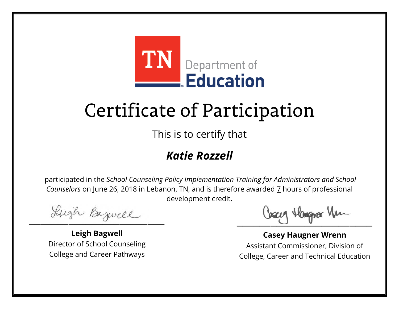

This is to certify that

### *Katie Rozzell*

Lugh Bazwell

**Leigh Bagwell** Director of School Counseling College and Career Pathways

Losey Hangra Vm

**Casey Haugner Wrenn** Assistant Commissioner, Division of College, Career and Technical Education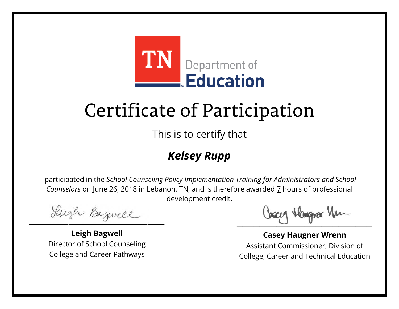

This is to certify that

### *Kelsey Rupp*

Lugh Bazwell

**Leigh Bagwell** Director of School Counseling College and Career Pathways

Losey Hangra Vm

**Casey Haugner Wrenn** Assistant Commissioner, Division of College, Career and Technical Education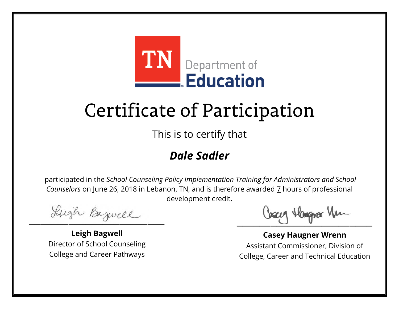

This is to certify that

#### *Dale Sadler*

Lugh Bazwell

**Leigh Bagwell** Director of School Counseling College and Career Pathways

Losey Hangra Vm

**Casey Haugner Wrenn** Assistant Commissioner, Division of College, Career and Technical Education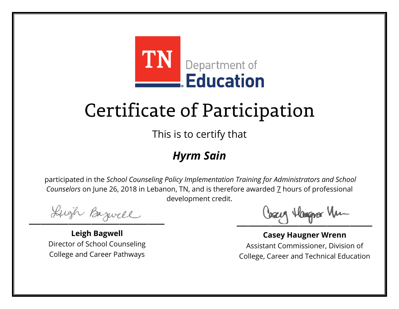

This is to certify that

#### *Hyrm Sain*

Lugh Bazwell

**Leigh Bagwell** Director of School Counseling College and Career Pathways

Losey Hangra Vm

**Casey Haugner Wrenn** Assistant Commissioner, Division of College, Career and Technical Education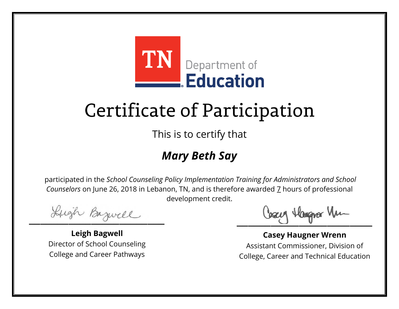

This is to certify that

### *Mary Beth Say*

Lugh Bazwell

**Leigh Bagwell** Director of School Counseling College and Career Pathways

Losey Hangra Vm

**Casey Haugner Wrenn** Assistant Commissioner, Division of College, Career and Technical Education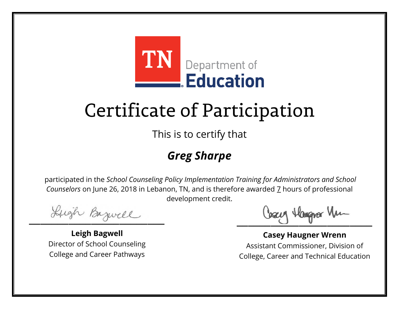

This is to certify that

### *Greg Sharpe*

Lugh Bazwell

**Leigh Bagwell** Director of School Counseling College and Career Pathways

Losey Hangra Vm

**Casey Haugner Wrenn** Assistant Commissioner, Division of College, Career and Technical Education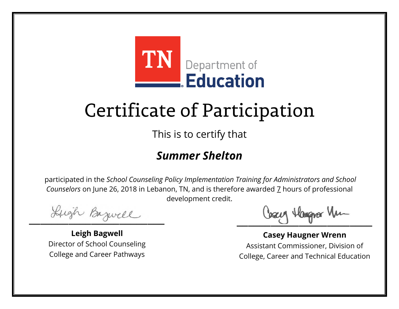

This is to certify that

#### *Summer Shelton*

Lugh Bazwell

**Leigh Bagwell** Director of School Counseling College and Career Pathways

Losey Hangra Vm

**Casey Haugner Wrenn** Assistant Commissioner, Division of College, Career and Technical Education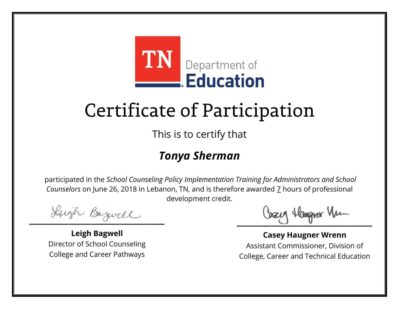

This is to certify that

#### *Tonya Sherman*

Lugh Bazwell

**Leigh Bagwell** Director of School Counseling College and Career Pathways

Losey Hangra Vm

**Casey Haugner Wrenn** Assistant Commissioner, Division of College, Career and Technical Education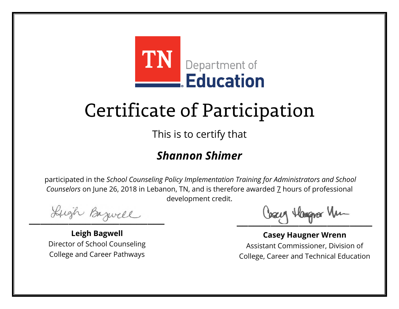

This is to certify that

#### *Shannon Shimer*

Lugh Bazwell

**Leigh Bagwell** Director of School Counseling College and Career Pathways

Losey Hangra Vm

**Casey Haugner Wrenn** Assistant Commissioner, Division of College, Career and Technical Education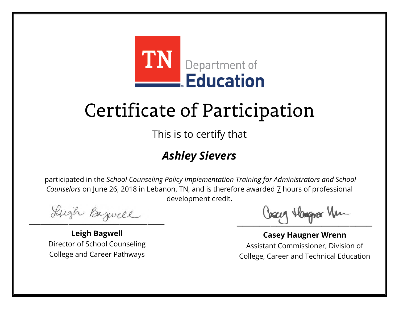

This is to certify that

### *Ashley Sievers*

Lugh Bazwell

**Leigh Bagwell** Director of School Counseling College and Career Pathways

Losey Hangra Vm

**Casey Haugner Wrenn** Assistant Commissioner, Division of College, Career and Technical Education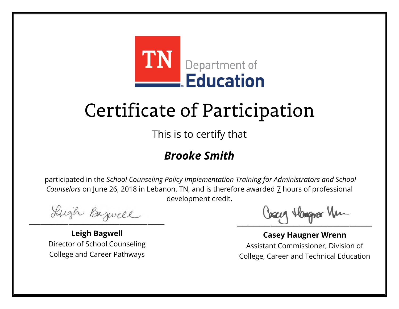

This is to certify that

#### *Brooke Smith*

Lugh Bazwell

**Leigh Bagwell** Director of School Counseling College and Career Pathways

Losey Hangra Vm

**Casey Haugner Wrenn** Assistant Commissioner, Division of College, Career and Technical Education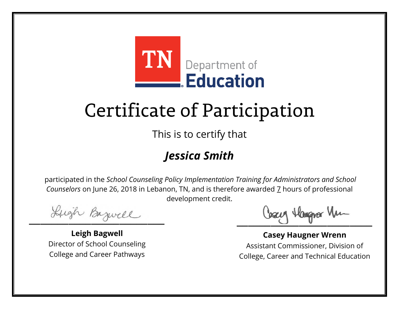

This is to certify that

### *Jessica Smith*

Lugh Bazwell

**Leigh Bagwell** Director of School Counseling College and Career Pathways

Losey Hangra Vm

**Casey Haugner Wrenn** Assistant Commissioner, Division of College, Career and Technical Education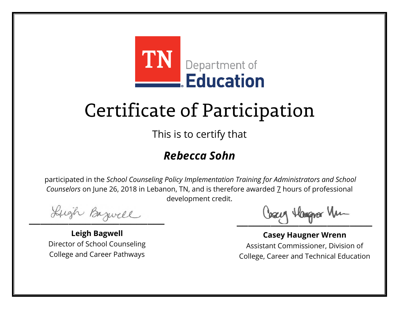

This is to certify that

#### *Rebecca Sohn*

Lugh Bazwell

**Leigh Bagwell** Director of School Counseling College and Career Pathways

Cosey Hangra Vm

**Casey Haugner Wrenn** Assistant Commissioner, Division of College, Career and Technical Education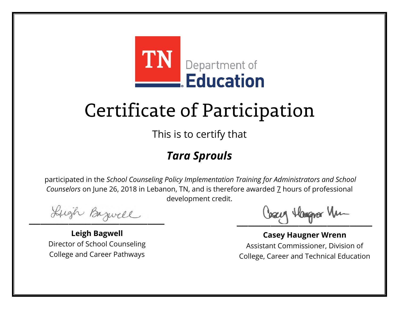

This is to certify that

### *Tara Sprouls*

Lugh Bazwell

**Leigh Bagwell** Director of School Counseling College and Career Pathways

Losey Hangra Vm

**Casey Haugner Wrenn** Assistant Commissioner, Division of College, Career and Technical Education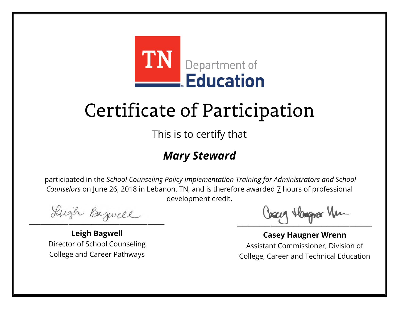

This is to certify that

### *Mary Steward*

Lugh Bazwell

**Leigh Bagwell** Director of School Counseling College and Career Pathways

Losey Hangra Vm

**Casey Haugner Wrenn** Assistant Commissioner, Division of College, Career and Technical Education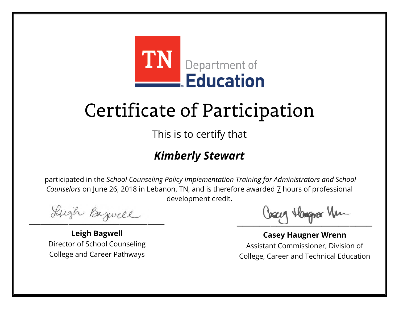

This is to certify that

#### *Kimberly Stewart*

Lugh Bazwell

**Leigh Bagwell** Director of School Counseling College and Career Pathways

Losey Hangra Vm

**Casey Haugner Wrenn** Assistant Commissioner, Division of College, Career and Technical Education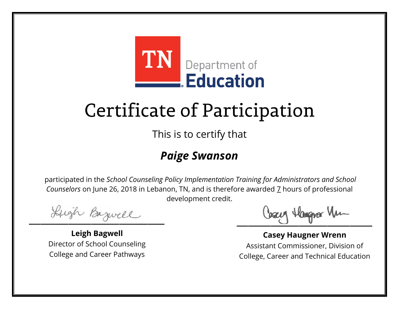

This is to certify that

#### *Paige Swanson*

Lugh Bazwell

**Leigh Bagwell** Director of School Counseling College and Career Pathways

Losey Hangra Vm

**Casey Haugner Wrenn** Assistant Commissioner, Division of College, Career and Technical Education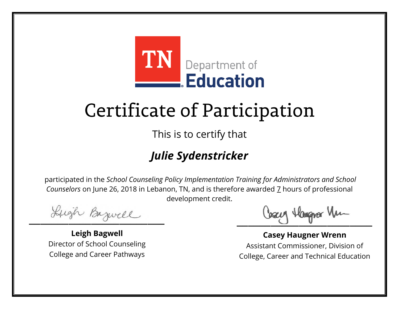

This is to certify that

### *Julie Sydenstricker*

Lugh Bazwell

**Leigh Bagwell** Director of School Counseling College and Career Pathways

Losey Hangra Vm

**Casey Haugner Wrenn** Assistant Commissioner, Division of College, Career and Technical Education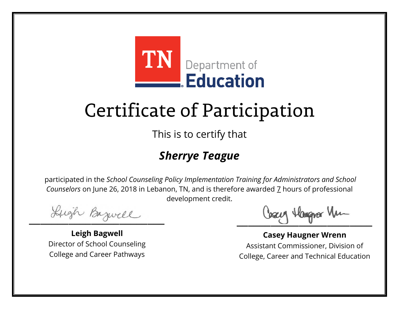

This is to certify that

### *Sherrye Teague*

Lugh Bazwell

**Leigh Bagwell** Director of School Counseling College and Career Pathways

Cosey Hangra Vm

**Casey Haugner Wrenn** Assistant Commissioner, Division of College, Career and Technical Education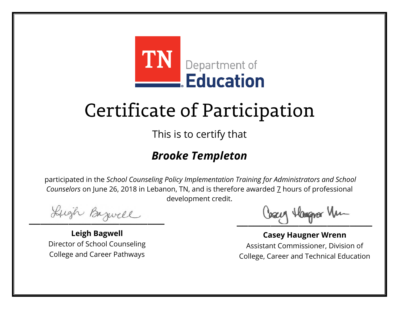

This is to certify that

#### *Brooke Templeton*

Lugh Bazwell

**Leigh Bagwell** Director of School Counseling College and Career Pathways

Cosey Hangra Vm

**Casey Haugner Wrenn** Assistant Commissioner, Division of College, Career and Technical Education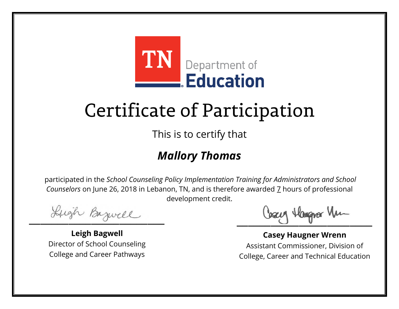

This is to certify that

#### *Mallory Thomas*

Lugh Bazwell

**Leigh Bagwell** Director of School Counseling College and Career Pathways

Losey Hangra Vm

**Casey Haugner Wrenn** Assistant Commissioner, Division of College, Career and Technical Education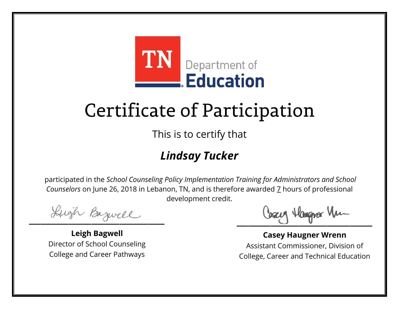

This is to certify that

### *Lindsay Tucker*

Lugh Bazwell

**Leigh Bagwell** Director of School Counseling College and Career Pathways

Losey Hangra Vm

**Casey Haugner Wrenn** Assistant Commissioner, Division of College, Career and Technical Education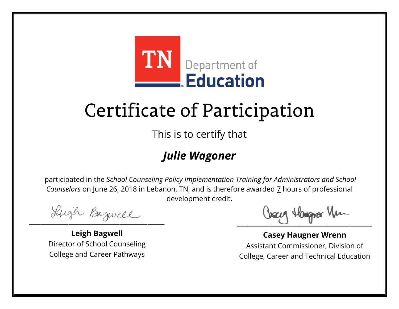

This is to certify that

### *Julie Wagoner*

Lugh Bazwell

**Leigh Bagwell** Director of School Counseling College and Career Pathways

Losey Hangra Vm

**Casey Haugner Wrenn** Assistant Commissioner, Division of College, Career and Technical Education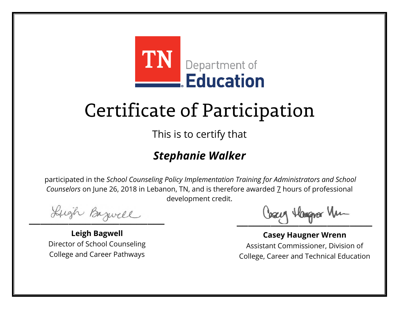

This is to certify that

### *Stephanie Walker*

Lugh Bazwell

**Leigh Bagwell** Director of School Counseling College and Career Pathways

Losey Hangra Vm

**Casey Haugner Wrenn** Assistant Commissioner, Division of College, Career and Technical Education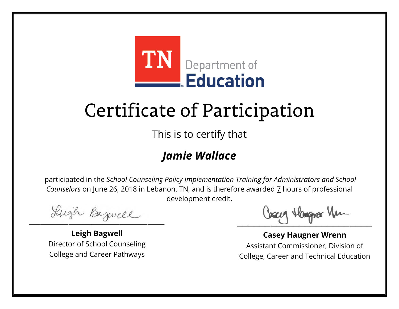

This is to certify that

#### *Jamie Wallace*

Lugh Bazwell

**Leigh Bagwell** Director of School Counseling College and Career Pathways

Losey Hangra Vm

**Casey Haugner Wrenn** Assistant Commissioner, Division of College, Career and Technical Education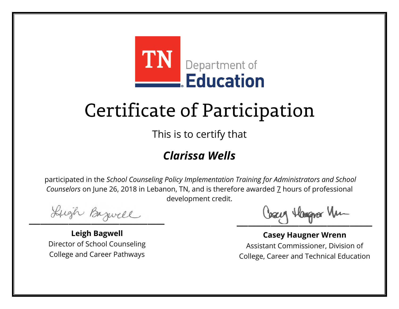

This is to certify that

#### *Clarissa Wells*

Lugh Bazwell

**Leigh Bagwell** Director of School Counseling College and Career Pathways

Losey Hangra Vm

**Casey Haugner Wrenn** Assistant Commissioner, Division of College, Career and Technical Education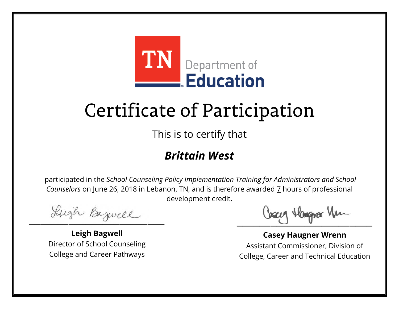

This is to certify that

#### *Brittain West*

Lugh Bazwell

**Leigh Bagwell** Director of School Counseling College and Career Pathways

Losey Hangra Vm

**Casey Haugner Wrenn** Assistant Commissioner, Division of College, Career and Technical Education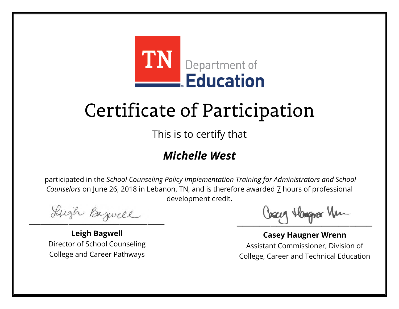

This is to certify that

#### *Michelle West*

Lugh Bazwell

**Leigh Bagwell** Director of School Counseling College and Career Pathways

Losey Hangra Vm

**Casey Haugner Wrenn** Assistant Commissioner, Division of College, Career and Technical Education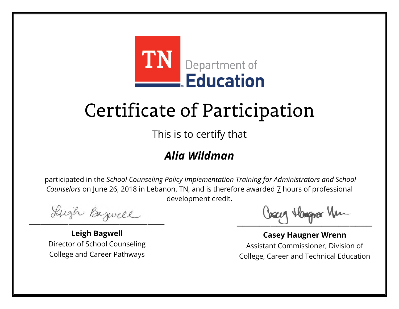

This is to certify that

#### *Alia Wildman*

Lugh Bazwell

**Leigh Bagwell** Director of School Counseling College and Career Pathways

Losey Hangra Vm

**Casey Haugner Wrenn** Assistant Commissioner, Division of College, Career and Technical Education